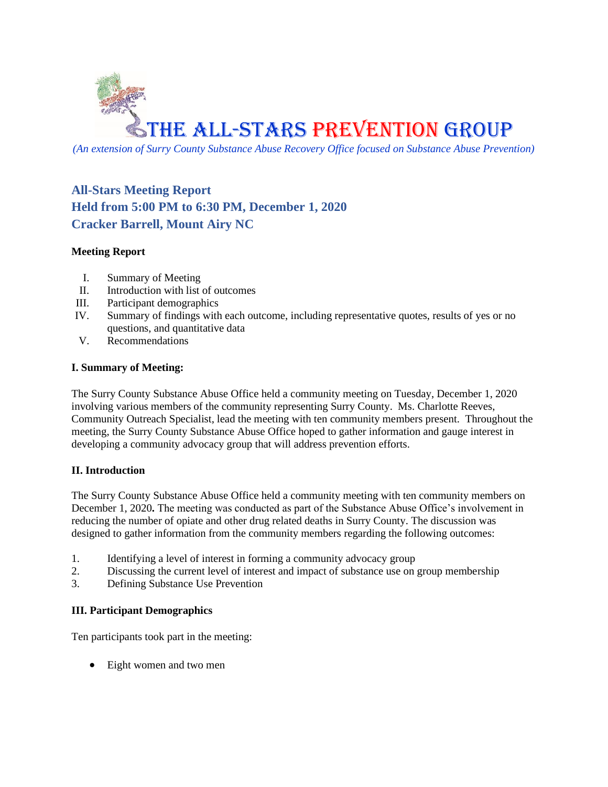

*(An extension of Surry County Substance Abuse Recovery Office focused on Substance Abuse Prevention)*

# **All-Stars Meeting Report Held from 5:00 PM to 6:30 PM, December 1, 2020 Cracker Barrell, Mount Airy NC**

## **Meeting Report**

- I. Summary of Meeting
- II. Introduction with list of outcomes
- III. Participant demographics
- IV. Summary of findings with each outcome, including representative quotes, results of yes or no questions, and quantitative data
- V. Recommendations

## **I. Summary of Meeting:**

The Surry County Substance Abuse Office held a community meeting on Tuesday, December 1, 2020 involving various members of the community representing Surry County. Ms. Charlotte Reeves, Community Outreach Specialist, lead the meeting with ten community members present. Throughout the meeting, the Surry County Substance Abuse Office hoped to gather information and gauge interest in developing a community advocacy group that will address prevention efforts.

# **II. Introduction**

The Surry County Substance Abuse Office held a community meeting with ten community members on December 1, 2020**.** The meeting was conducted as part of the Substance Abuse Office's involvement in reducing the number of opiate and other drug related deaths in Surry County. The discussion was designed to gather information from the community members regarding the following outcomes:

- 1. Identifying a level of interest in forming a community advocacy group
- 2. Discussing the current level of interest and impact of substance use on group membership
- 3. Defining Substance Use Prevention

## **III. Participant Demographics**

Ten participants took part in the meeting:

• Eight women and two men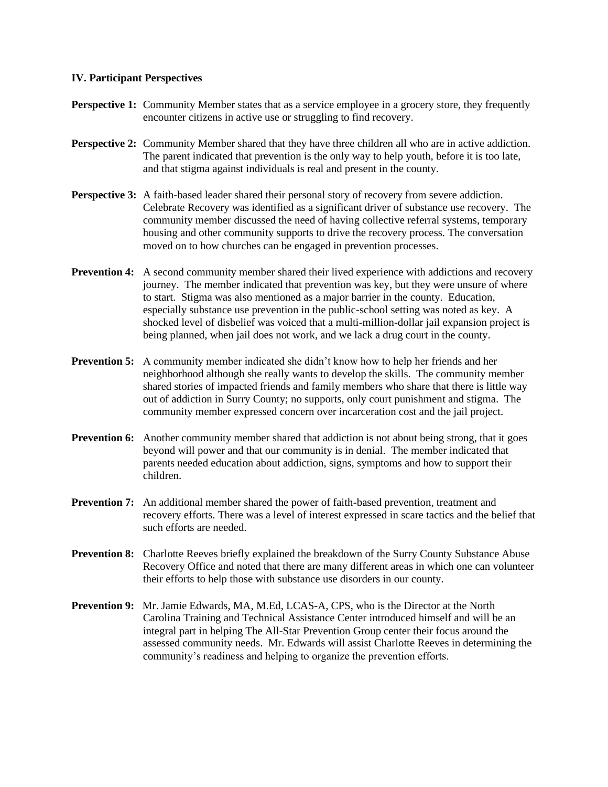#### **IV. Participant Perspectives**

- **Perspective 1:** Community Member states that as a service employee in a grocery store, they frequently encounter citizens in active use or struggling to find recovery.
- **Perspective 2:** Community Member shared that they have three children all who are in active addiction. The parent indicated that prevention is the only way to help youth, before it is too late, and that stigma against individuals is real and present in the county.
- **Perspective 3:** A faith-based leader shared their personal story of recovery from severe addiction. Celebrate Recovery was identified as a significant driver of substance use recovery. The community member discussed the need of having collective referral systems, temporary housing and other community supports to drive the recovery process. The conversation moved on to how churches can be engaged in prevention processes.
- **Prevention 4:** A second community member shared their lived experience with addictions and recovery journey. The member indicated that prevention was key, but they were unsure of where to start. Stigma was also mentioned as a major barrier in the county. Education, especially substance use prevention in the public-school setting was noted as key. A shocked level of disbelief was voiced that a multi-million-dollar jail expansion project is being planned, when jail does not work, and we lack a drug court in the county.
- **Prevention 5:** A community member indicated she didn't know how to help her friends and her neighborhood although she really wants to develop the skills. The community member shared stories of impacted friends and family members who share that there is little way out of addiction in Surry County; no supports, only court punishment and stigma. The community member expressed concern over incarceration cost and the jail project.
- **Prevention 6:** Another community member shared that addiction is not about being strong, that it goes beyond will power and that our community is in denial. The member indicated that parents needed education about addiction, signs, symptoms and how to support their children.
- **Prevention 7:** An additional member shared the power of faith-based prevention, treatment and recovery efforts. There was a level of interest expressed in scare tactics and the belief that such efforts are needed.
- **Prevention 8:** Charlotte Reeves briefly explained the breakdown of the Surry County Substance Abuse Recovery Office and noted that there are many different areas in which one can volunteer their efforts to help those with substance use disorders in our county.
- **Prevention 9:** Mr. Jamie Edwards, MA, M.Ed, LCAS-A, CPS, who is the Director at the North Carolina Training and Technical Assistance Center introduced himself and will be an integral part in helping The All-Star Prevention Group center their focus around the assessed community needs. Mr. Edwards will assist Charlotte Reeves in determining the community's readiness and helping to organize the prevention efforts.